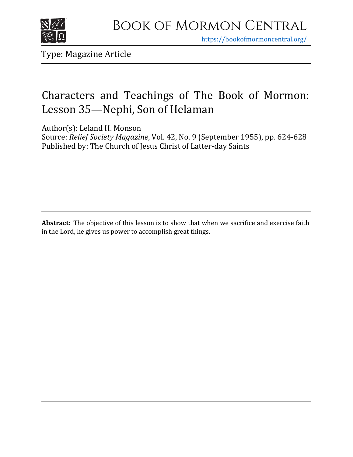

https[://bookofmormoncentral.org/](http://bookofmormoncentral.org/)

Type: Magazine Article

### Characters and Teachings of The Book of Mormon: Lesson 35—Nephi, Son of Helaman

Author(s): Leland H. Monson

Source: *Relief Society Magazine*, Vol. 42, No. 9 (September 1955), pp. 624-628 Published by: The Church of Jesus Christ of Latter-day Saints

Abstract: The objective of this lesson is to show that when we sacrifice and exercise faith in the Lord, he gives us power to accomplish great things.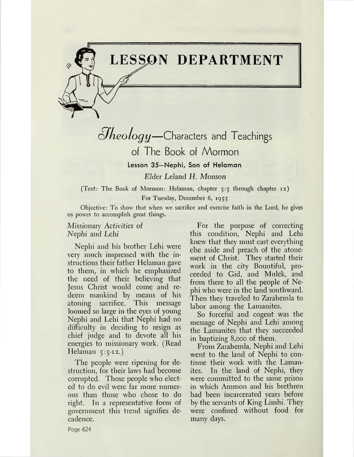# **LESSON DEPARTMENT**

*éJkeology—*Characters and Teachings

### of The Book of Mormon

**Lesson 35—Nephi, Son of Helaman**

*Elder Leland H. Monson*

(Text: The Book of Mormon: Helaman, chapter 5:5 through chapter 12) For Tuesday, December 6, 1955

Objective: To show that when we sacrifice and exercise faith in the Lord, he gives us power to accomplish great things.

#### Missionary Activities of *Nephi and Lehi*

Nephi and his brother Lehi were very much impressed with the instructions their father Helaman gave to them, in which he emphasized the need of their believing that Jesus Christ would come and redeem mankind by means of his atoning sacrifice. This message loomed so large in the eyes of young Nephi and Lehi that Nephi had no difficulty in deciding to resign as chief judge and to devote all his energies to missionary work. (Read Helaman  $5:5-12.$ 

The people were ripening for destruction, for their laws had become corrupted. Those people who elected to do evil were far more numerous than those who chose to do right. In a representative form of government this trend signifies decadence.

For the purpose of correcting this condition, Nephi and Lehi knew that they must cast everything else aside and preach of the atonement of Christ. They started their work in the city Bountiful, proceeded to Gid, and Mulek, and from there to all the people of Nephi who were in the land southward. Then they traveled to Zarahemla to labor among the Lamanites.

So forceful and cogent was the message of Nephi and Lehi among the Lamanites that they succeeded in baptizing 8,000 of them.

From Zarahemla, Nephi and Lehi went to the land of Nephi to continue their work with the Lamanites. In the land of Nephi, they were committed to the same prison in which Ammon and his brethren had been incarcerated years before by the servants of King Limhi. They were confined without food for many days.

Page 624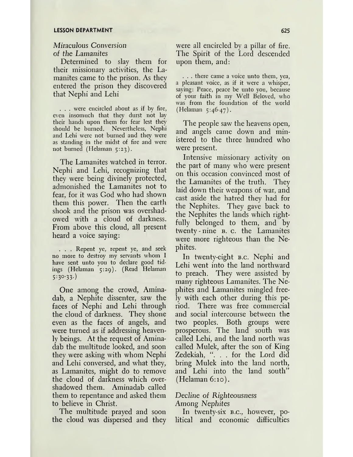### Miraculous *Conversion of the Lamanites*

Determined to slay them for their missionary activities, the Lamanites came to the prison. As they entered the prison they discovered that Nephi and Lehi

. . . were encircled about as if by fire, even insomuch that they durst not lay their hands upon them for fear lest they should be burned. Nevertheless, Nephi and Lehi were not burned and they were as standing in the midst of fire and were not burned (Helaman 5:23).

The Lamanites watched in terror. Nephi and Lehi, recognizing that they were being divinely protected, admonished the Lamanites not to fear, for it was God who had shown them this power. Then the earth shook and the prison was overshadowed with a cloud of darkness. From above this cloud, all present heard a voice saying:

. . . Repent ye, repent ye, and seek no more to destroy my servants whom I have sent unto you to declare good tidings (Helaman 5:29). (Read Helaman  $5:30-33.$ 

One among the crowd, Aminadab, a Nephite dissenter, saw the faces of Nephi and Lehi through the cloud of darkness. They shone even as the faces of angels, and were turned as if addressing heavenly beings. At the request of Aminadab the multitude looked, and soon they were asking with whom Nephi and Lehi conversed, and what they, as Lamanites, might do to remove the cloud of darkness which overshadowed them. Aminadab called them to repentance and asked them to believe in Christ.

The multitude prayed and soon the cloud was dispersed and they were all encircled by a pillar of fire. The Spirit of the Lord descended upon them, and:

. . . there came a voice unto them, yea, a pleasant voice, as if it were a whisper, saying: Peace, peace be unto you, because of your faith in my Well Beloved, who was from the foundation of the world (Helaman 5:46-47).

The people saw the heavens open, and angels came down and ministered to the three hundred who were present.

Intensive missionary activity on the part of many who were present on this occasion convinced most of the Lamanites of the truth. They laid down their weapons of war, and cast aside the hatred they had for the Nephites. They gave back to the Nephites the lands which rightfully belonged to them, and by twenty-nine **B.** c. the Lamanites were more righteous than the Nephites.

In twenty-eight b.c. Nephi and Lehi went into the land northward to preach. They were assisted by many righteous Lamanites. The Nephites and Lamanites mingled freely with each other during this period. There was free commercial and social intercourse between the two peoples. Both groups were prosperous. The land south was called Lehi, and the land north was called Mulek, after the son of King Zedekiah, ". . . for the Lord did bring Mulek into the land north, and Lehi into the land south'" (Helaman 6:10).

#### *Decline of Righteousness Among Nephites*

In twenty-six b.c., however, political and economic difficulties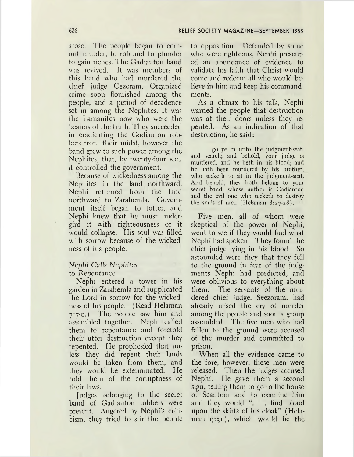arose. The people began to commit murder, to rob and to plunder to gain riches. The Gadianton band was revived. It was members of this band who had murdered the chief judge Cezoram. Organized crime soon flourished among the people, and a period of decadence set in among the Nephites. It was the Lamanites now who were the bearers of the truth. They succeeded in eradicating the Gadianton robbers from their midst, however the band grew to such power among the Nephites, that, by twenty-four B.C., it controlled the government.

Because of wickedness among the Nephites in the land northward, Nephi returned from the land northward to Zarahemla. Government itself began to totter, and Nephi knew that he must undergird it with righteousness or it would collapse. His soul was filled with sorrow because of the wickedness of his people.

#### *Nephi Calls Nephites to Repentance*

Nephi entered a tower in his garden in Zarahemla and supplicated the Lord in sorrow for the wickedness of his people. (Read Helaman 7:7-9.) The people saw him and assembled together. Nephi called them to repentance and foretold their utter destruction except they repented. He prophesied that unless they did repent their lands would be taken from them, and they would be exterminated. He told them of the corruptness of their laws.

Judges belonging to the secret band of Gadianton robbers were present. Angered by Nephi'<sup>s</sup> criticism, they tried to stir the people

to opposition. Defended by some who were righteous, Nephi presented an abundance of evidence to validate his faith that Christ would come and redeem all who would believe in him and keep his commandments.

As a climax to his talk, Nephi warned the people that destruction was at their doors unless they repented. As an indication of that destruction, he said:

... go ye in unto the judgment-seat, and search; and behold, your judge is murdered, and he lieth in his blood; and he hath been murdered by his brother, who seeketh to sit in the judgment-seat. And behold, they both belong to your secret band, whose author is Gadianton and the evil one who seeketh to destroy the souls of men (Helaman 8:27-28).

Five men, all of whom were skeptical of the power of Nephi, went to see if they would find what Nephi had spoken. They found the chief judge lying in his blood. So astounded were they that they fell to the ground in fear of the judgments Nephi had predicted, and were oblivious to everything about them. The servants of the murdered chief judge, Seezoram, had already raised the cry of murder among the people and soon a group assembled. The five men who had fallen to the ground were accused of the murder and committed to prison.

When all the evidence came to the fore, however, these men were released. Then the judges accused Nephi. He gave them a second sign, telling them to go to the house of Seantum and to examine him and they would ". . . find blood upon the skirts of his cloak" (Helaman 9:31), which would be the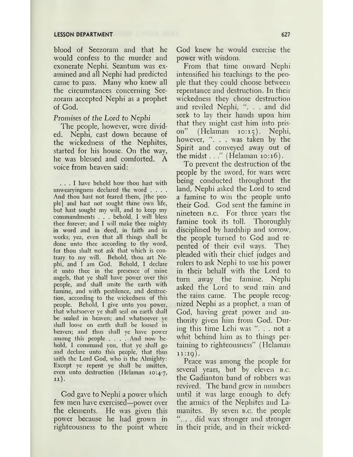#### **LESSON DEPARTMENT 627**

blood of Seezoram and that he would confess to the murder and exonerate Nephi. Seantum was examined and all Nephi had predicted came to pass. Many who knew all the circumstances concerning Seezoram accepted Nephi as a prophet of God.

#### *Promises of the Lord to Nephi*

The people, however, were divided. Nephi, cast down because of the wickedness of the Nephites, started for his house. On the way, he was blessed and comforted. A voice from heaven said:

... <sup>I</sup> have beheld how thou hast with unwearyingness declared the word . . . . And thou hast not feared them, [the people] and hast not sought thine own life, but hast sought my will, and to keep my commandments . . . behold, I will bless thee forever; and I will make thee mighty in word and in deed, in faith and in works; yea, even that all things shall be done unto thee according to thy word, for thou shalt not ask that which is contrary to my will. Behold, thou art Nephi, and I am God. Behold, I declare it unto thee in the presence of mine angels, that ye shall have power over this people, and shall smite the earth with famine, and with pestilence, and destruction, according to the wickedness of this people. Behold, I give unto you power, that whatsoever ye shall seal on earth shall be sealed in heaven; and whatsoever ye shall loose on earth shall be loosed in heaven; and thus shall ye have power among this people . . . . And now behold, I command you, that ye shall go and declare unto this people, that thus saith the Lord God, who is the Almighty: Except ye repent ye shall be smitten, even unto destruction (Helaman 10:4-7, 11).

God gave to Nephi a power which few men have exercised—power over the elements. He was given this power because he had grown in righteousness to the point where God knew he would exercise the power with wisdom.

From that time onward Nephi intensified his teachings to the people that they could choose between repentance and destruction. In their wickedness they chose destruction and reviled Nephi, ". . . and did seek to lay their hands upon him that they might cast him into prison" (Helaman 10:15). Nephi, however, "... was taken by the Spirit and conveyed away out of the midst. . ." (Helaman 10:16).

To prevent the destruction of the people by the sword, for wars were being conducted throughout the land, Nephi asked the Lord to send a famine to win the people unto their God. God sent the famine in nineteen b.c. For three years the famine took its toll. Thoroughly disciplined by hardship and sorrow, the people turned to God and repented of their evil ways. They pleaded with their chief judges and rulers to ask Nephi to use his power in their behalf with the Lord to turn away the famine. Nephi asked the Lord to send rain and the rains came. The people recognized Nephi as a prophet, a man of God, having great power and authority given him from God. During this time Lehi was ". . . not a whit behind him as to things pertaining to righteousness" (Helaman  $11:19$ ).

Peace was among the people for several years, but by eleven *B.C.* the Gadianton band of robbers was revived. The band grew in numbers until it was large enough to defy the armies of the Nephites and Lamanites. By seven *B.c.* the people ".... did wax stronger and stronger in their pride, and in their wicked